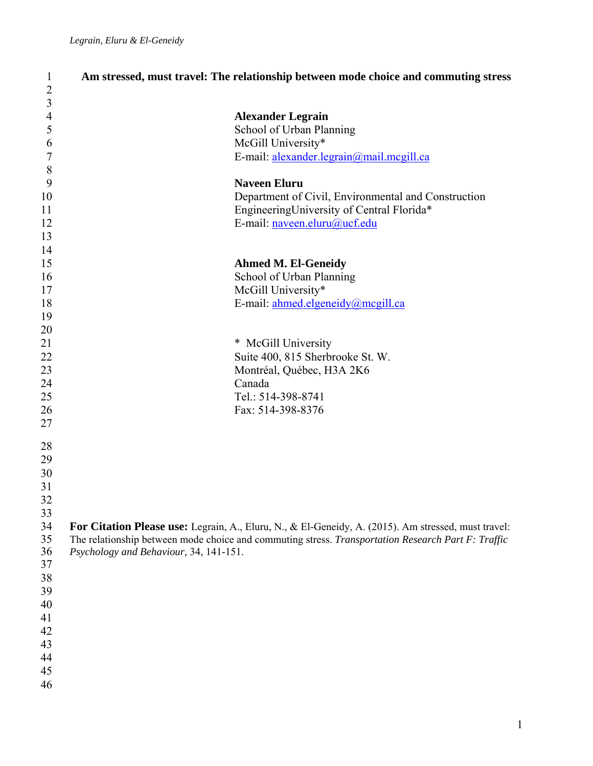| $\mathbf{1}$   | Am stressed, must travel: The relationship between mode choice and commuting stress                        |                                                     |
|----------------|------------------------------------------------------------------------------------------------------------|-----------------------------------------------------|
| $\overline{2}$ |                                                                                                            |                                                     |
| 3              |                                                                                                            |                                                     |
| $\overline{4}$ | <b>Alexander Legrain</b>                                                                                   |                                                     |
| 5              | School of Urban Planning                                                                                   |                                                     |
| 6              | McGill University*                                                                                         |                                                     |
| $\sqrt{ }$     | E-mail: alexander.legrain@mail.mcgill.ca                                                                   |                                                     |
| $\, 8$         |                                                                                                            |                                                     |
| 9              | <b>Naveen Eluru</b>                                                                                        |                                                     |
| 10             |                                                                                                            | Department of Civil, Environmental and Construction |
| 11             | EngineeringUniversity of Central Florida*                                                                  |                                                     |
| 12             | E-mail: naveen.eluru@ucf.edu                                                                               |                                                     |
| 13             |                                                                                                            |                                                     |
| 14             |                                                                                                            |                                                     |
| 15             | <b>Ahmed M. El-Geneidy</b>                                                                                 |                                                     |
| 16             | School of Urban Planning                                                                                   |                                                     |
| 17             | McGill University*                                                                                         |                                                     |
| 18             | E-mail: ahmed.elgeneidy@mcgill.ca                                                                          |                                                     |
| 19             |                                                                                                            |                                                     |
| 20             |                                                                                                            |                                                     |
| 21             | * McGill University                                                                                        |                                                     |
| 22             | Suite 400, 815 Sherbrooke St. W.                                                                           |                                                     |
| 23             | Montréal, Québec, H3A 2K6                                                                                  |                                                     |
| 24             | Canada                                                                                                     |                                                     |
| 25             | Tel.: 514-398-8741                                                                                         |                                                     |
| 26             | Fax: 514-398-8376                                                                                          |                                                     |
| 27             |                                                                                                            |                                                     |
|                |                                                                                                            |                                                     |
| 28             |                                                                                                            |                                                     |
| 29             |                                                                                                            |                                                     |
| 30             |                                                                                                            |                                                     |
| 31             |                                                                                                            |                                                     |
| 32             |                                                                                                            |                                                     |
| 33             |                                                                                                            |                                                     |
| 34             | <b>For Citation Please use:</b> Legrain, A., Eluru, N., & El-Geneidy, A. (2015). Am stressed, must travel: |                                                     |
| 35             | The relationship between mode choice and commuting stress. Transportation Research Part F: Traffic         |                                                     |
| 36             | Psychology and Behaviour, 34, 141-151.                                                                     |                                                     |
| 37             |                                                                                                            |                                                     |
| 38             |                                                                                                            |                                                     |
| 39             |                                                                                                            |                                                     |
| 40             |                                                                                                            |                                                     |
| 41             |                                                                                                            |                                                     |
| 42             |                                                                                                            |                                                     |
| 43             |                                                                                                            |                                                     |
| 44             |                                                                                                            |                                                     |
| 45             |                                                                                                            |                                                     |
| 46             |                                                                                                            |                                                     |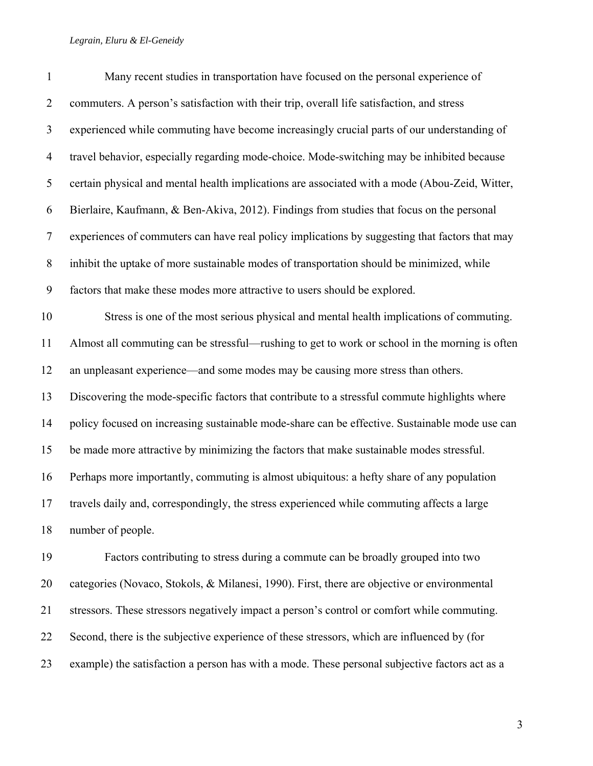| $\mathbf{1}$   | Many recent studies in transportation have focused on the personal experience of               |
|----------------|------------------------------------------------------------------------------------------------|
| $\overline{2}$ | commuters. A person's satisfaction with their trip, overall life satisfaction, and stress      |
| 3              | experienced while commuting have become increasingly crucial parts of our understanding of     |
| $\overline{4}$ | travel behavior, especially regarding mode-choice. Mode-switching may be inhibited because     |
| 5              | certain physical and mental health implications are associated with a mode (Abou-Zeid, Witter, |
| 6              | Bierlaire, Kaufmann, & Ben-Akiva, 2012). Findings from studies that focus on the personal      |
| $\tau$         | experiences of commuters can have real policy implications by suggesting that factors that may |
| 8              | inhibit the uptake of more sustainable modes of transportation should be minimized, while      |
| 9              | factors that make these modes more attractive to users should be explored.                     |
| 10             | Stress is one of the most serious physical and mental health implications of commuting.        |
| 11             | Almost all commuting can be stressful—rushing to get to work or school in the morning is often |
| 12             | an unpleasant experience—and some modes may be causing more stress than others.                |
| 13             | Discovering the mode-specific factors that contribute to a stressful commute highlights where  |
| 14             | policy focused on increasing sustainable mode-share can be effective. Sustainable mode use can |
| 15             | be made more attractive by minimizing the factors that make sustainable modes stressful.       |
| 16             | Perhaps more importantly, commuting is almost ubiquitous: a hefty share of any population      |
| 17             | travels daily and, correspondingly, the stress experienced while commuting affects a large     |
| 18             | number of people.                                                                              |
| 19             | Factors contributing to stress during a commute can be broadly grouped into two                |

20 categories (Novaco, Stokols, & Milanesi, 1990). First, there are objective or environmental 21 stressors. These stressors negatively impact a person's control or comfort while commuting. 22 Second, there is the subjective experience of these stressors, which are influenced by (for 23 example) the satisfaction a person has with a mode. These personal subjective factors act as a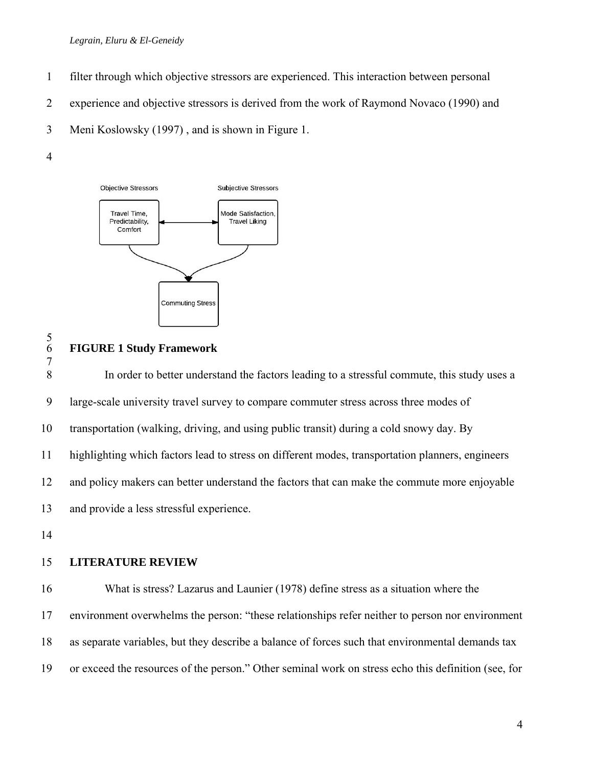- 1 filter through which objective stressors are experienced. This interaction between personal
- 2 experience and objective stressors is derived from the work of Raymond Novaco (1990) and
- 3 Meni Koslowsky (1997) , and is shown in Figure 1.

4



 $rac{5}{6}$ 

7

## 6 **FIGURE 1 Study Framework**

8 In order to better understand the factors leading to a stressful commute, this study uses a 9 large-scale university travel survey to compare commuter stress across three modes of 10 transportation (walking, driving, and using public transit) during a cold snowy day. By 11 highlighting which factors lead to stress on different modes, transportation planners, engineers 12 and policy makers can better understand the factors that can make the commute more enjoyable 13 and provide a less stressful experience.

14

## 15 **LITERATURE REVIEW**

16 What is stress? Lazarus and Launier (1978) define stress as a situation where the 17 environment overwhelms the person: "these relationships refer neither to person nor environment 18 as separate variables, but they describe a balance of forces such that environmental demands tax 19 or exceed the resources of the person." Other seminal work on stress echo this definition (see, for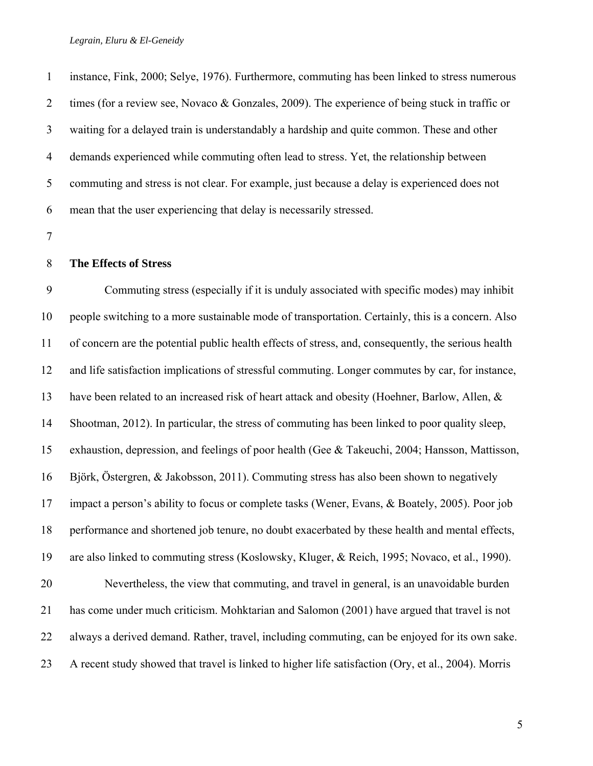1 instance, Fink, 2000; Selye, 1976). Furthermore, commuting has been linked to stress numerous 2 times (for a review see, Novaco & Gonzales, 2009). The experience of being stuck in traffic or 3 waiting for a delayed train is understandably a hardship and quite common. These and other 4 demands experienced while commuting often lead to stress. Yet, the relationship between 5 commuting and stress is not clear. For example, just because a delay is experienced does not 6 mean that the user experiencing that delay is necessarily stressed.

7

### 8 **The Effects of Stress**

9 Commuting stress (especially if it is unduly associated with specific modes) may inhibit 10 people switching to a more sustainable mode of transportation. Certainly, this is a concern. Also 11 of concern are the potential public health effects of stress, and, consequently, the serious health 12 and life satisfaction implications of stressful commuting. Longer commutes by car, for instance, 13 have been related to an increased risk of heart attack and obesity (Hoehner, Barlow, Allen, & 14 Shootman, 2012). In particular, the stress of commuting has been linked to poor quality sleep, 15 exhaustion, depression, and feelings of poor health (Gee & Takeuchi, 2004; Hansson, Mattisson, 16 Björk, Östergren, & Jakobsson, 2011). Commuting stress has also been shown to negatively 17 impact a person's ability to focus or complete tasks (Wener, Evans, & Boately, 2005). Poor job 18 performance and shortened job tenure, no doubt exacerbated by these health and mental effects, 19 are also linked to commuting stress (Koslowsky, Kluger, & Reich, 1995; Novaco, et al., 1990). 20 Nevertheless, the view that commuting, and travel in general, is an unavoidable burden 21 has come under much criticism. Mohktarian and Salomon (2001) have argued that travel is not 22 always a derived demand. Rather, travel, including commuting, can be enjoyed for its own sake. 23 A recent study showed that travel is linked to higher life satisfaction (Ory, et al., 2004). Morris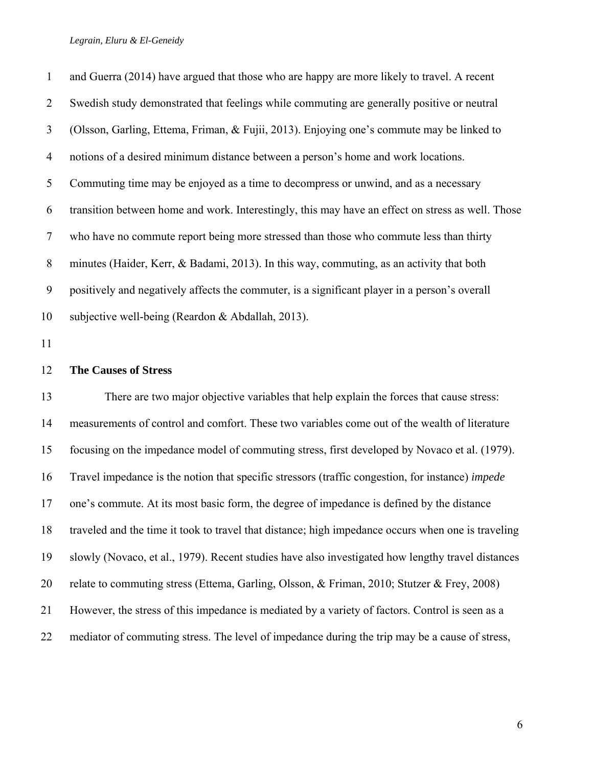1 and Guerra (2014) have argued that those who are happy are more likely to travel. A recent 2 Swedish study demonstrated that feelings while commuting are generally positive or neutral 3 (Olsson, Garling, Ettema, Friman, & Fujii, 2013). Enjoying one's commute may be linked to 4 notions of a desired minimum distance between a person's home and work locations. 5 Commuting time may be enjoyed as a time to decompress or unwind, and as a necessary 6 transition between home and work. Interestingly, this may have an effect on stress as well. Those 7 who have no commute report being more stressed than those who commute less than thirty 8 minutes (Haider, Kerr, & Badami, 2013). In this way, commuting, as an activity that both 9 positively and negatively affects the commuter, is a significant player in a person's overall 10 subjective well-being (Reardon & Abdallah, 2013). 11 12 **The Causes of Stress**  13 There are two major objective variables that help explain the forces that cause stress: 14 measurements of control and comfort. These two variables come out of the wealth of literature 15 focusing on the impedance model of commuting stress, first developed by Novaco et al. (1979). 16 Travel impedance is the notion that specific stressors (traffic congestion, for instance) *impede* 17 one's commute. At its most basic form, the degree of impedance is defined by the distance 18 traveled and the time it took to travel that distance; high impedance occurs when one is traveling 19 slowly (Novaco, et al., 1979). Recent studies have also investigated how lengthy travel distances 20 relate to commuting stress (Ettema, Garling, Olsson, & Friman, 2010; Stutzer & Frey, 2008)

21 However, the stress of this impedance is mediated by a variety of factors. Control is seen as a

22 mediator of commuting stress. The level of impedance during the trip may be a cause of stress,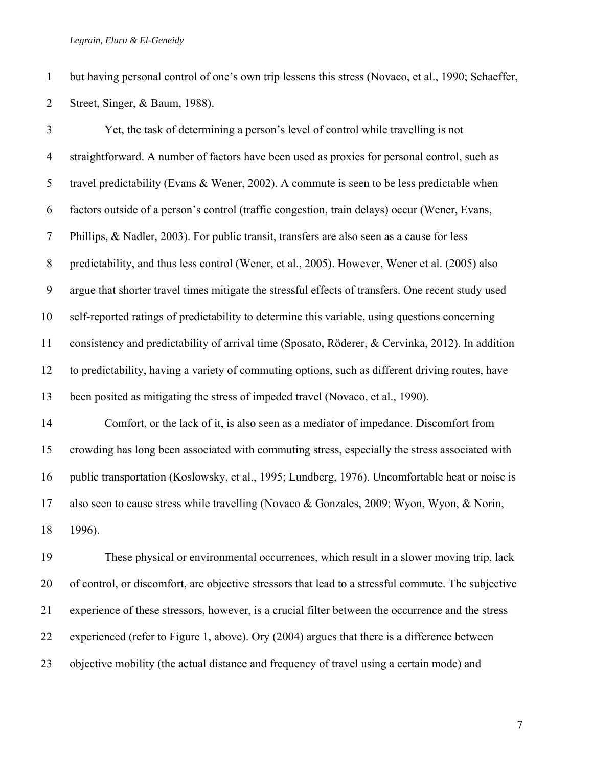1 but having personal control of one's own trip lessens this stress (Novaco, et al., 1990; Schaeffer, 2 Street, Singer, & Baum, 1988).

3 Yet, the task of determining a person's level of control while travelling is not 4 straightforward. A number of factors have been used as proxies for personal control, such as 5 travel predictability (Evans & Wener, 2002). A commute is seen to be less predictable when 6 factors outside of a person's control (traffic congestion, train delays) occur (Wener, Evans, 7 Phillips, & Nadler, 2003). For public transit, transfers are also seen as a cause for less 8 predictability, and thus less control (Wener, et al., 2005). However, Wener et al. (2005) also 9 argue that shorter travel times mitigate the stressful effects of transfers. One recent study used 10 self-reported ratings of predictability to determine this variable, using questions concerning 11 consistency and predictability of arrival time (Sposato, Röderer, & Cervinka, 2012). In addition 12 to predictability, having a variety of commuting options, such as different driving routes, have 13 been posited as mitigating the stress of impeded travel (Novaco, et al., 1990). 14 Comfort, or the lack of it, is also seen as a mediator of impedance. Discomfort from

15 crowding has long been associated with commuting stress, especially the stress associated with 16 public transportation (Koslowsky, et al., 1995; Lundberg, 1976). Uncomfortable heat or noise is 17 also seen to cause stress while travelling (Novaco & Gonzales, 2009; Wyon, Wyon, & Norin, 18 1996).

19 These physical or environmental occurrences, which result in a slower moving trip, lack 20 of control, or discomfort, are objective stressors that lead to a stressful commute. The subjective 21 experience of these stressors, however, is a crucial filter between the occurrence and the stress 22 experienced (refer to Figure 1, above). Ory (2004) argues that there is a difference between 23 objective mobility (the actual distance and frequency of travel using a certain mode) and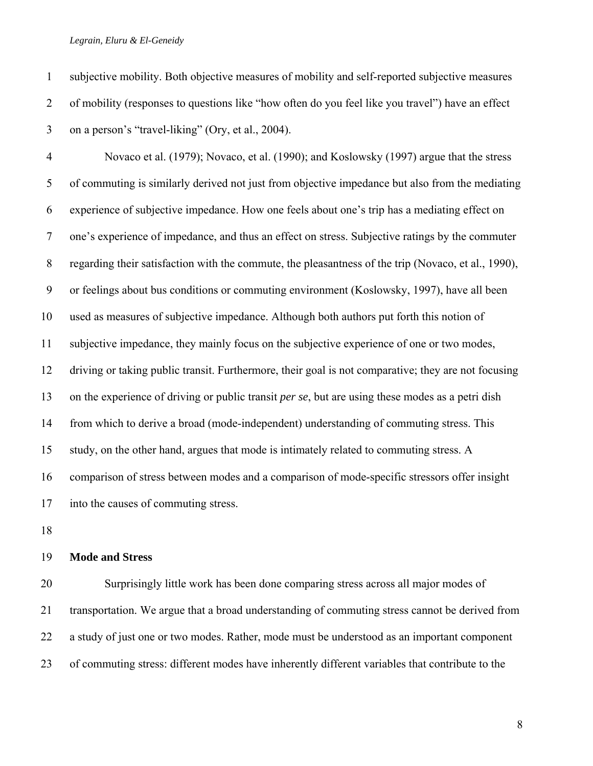1 subjective mobility. Both objective measures of mobility and self-reported subjective measures 2 of mobility (responses to questions like "how often do you feel like you travel") have an effect 3 on a person's "travel-liking" (Ory, et al., 2004).

4 Novaco et al. (1979); Novaco, et al. (1990); and Koslowsky (1997) argue that the stress 5 of commuting is similarly derived not just from objective impedance but also from the mediating 6 experience of subjective impedance. How one feels about one's trip has a mediating effect on 7 one's experience of impedance, and thus an effect on stress. Subjective ratings by the commuter 8 regarding their satisfaction with the commute, the pleasantness of the trip (Novaco, et al., 1990), 9 or feelings about bus conditions or commuting environment (Koslowsky, 1997), have all been 10 used as measures of subjective impedance. Although both authors put forth this notion of 11 subjective impedance, they mainly focus on the subjective experience of one or two modes, 12 driving or taking public transit. Furthermore, their goal is not comparative; they are not focusing 13 on the experience of driving or public transit *per se*, but are using these modes as a petri dish 14 from which to derive a broad (mode-independent) understanding of commuting stress. This 15 study, on the other hand, argues that mode is intimately related to commuting stress. A 16 comparison of stress between modes and a comparison of mode-specific stressors offer insight 17 into the causes of commuting stress.

18

#### 19 **Mode and Stress**

20 Surprisingly little work has been done comparing stress across all major modes of 21 transportation. We argue that a broad understanding of commuting stress cannot be derived from 22 a study of just one or two modes. Rather, mode must be understood as an important component 23 of commuting stress: different modes have inherently different variables that contribute to the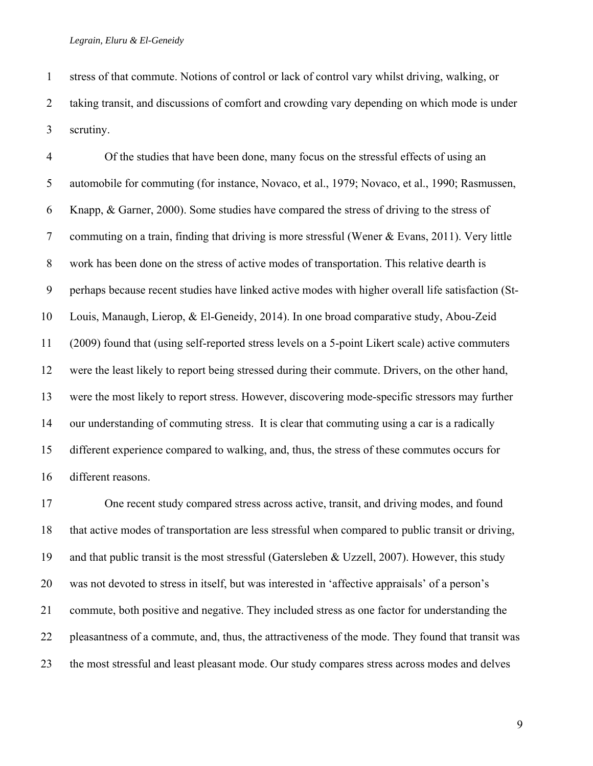1 stress of that commute. Notions of control or lack of control vary whilst driving, walking, or 2 taking transit, and discussions of comfort and crowding vary depending on which mode is under 3 scrutiny.

4 Of the studies that have been done, many focus on the stressful effects of using an 5 automobile for commuting (for instance, Novaco, et al., 1979; Novaco, et al., 1990; Rasmussen, 6 Knapp, & Garner, 2000). Some studies have compared the stress of driving to the stress of 7 commuting on a train, finding that driving is more stressful (Wener & Evans, 2011). Very little 8 work has been done on the stress of active modes of transportation. This relative dearth is 9 perhaps because recent studies have linked active modes with higher overall life satisfaction (St-10 Louis, Manaugh, Lierop, & El-Geneidy, 2014). In one broad comparative study, Abou-Zeid 11 (2009) found that (using self-reported stress levels on a 5-point Likert scale) active commuters 12 were the least likely to report being stressed during their commute. Drivers, on the other hand, 13 were the most likely to report stress. However, discovering mode-specific stressors may further 14 our understanding of commuting stress. It is clear that commuting using a car is a radically 15 different experience compared to walking, and, thus, the stress of these commutes occurs for 16 different reasons.

17 One recent study compared stress across active, transit, and driving modes, and found 18 that active modes of transportation are less stressful when compared to public transit or driving, 19 and that public transit is the most stressful (Gatersleben & Uzzell, 2007). However, this study 20 was not devoted to stress in itself, but was interested in 'affective appraisals' of a person's 21 commute, both positive and negative. They included stress as one factor for understanding the 22 pleasantness of a commute, and, thus, the attractiveness of the mode. They found that transit was 23 the most stressful and least pleasant mode. Our study compares stress across modes and delves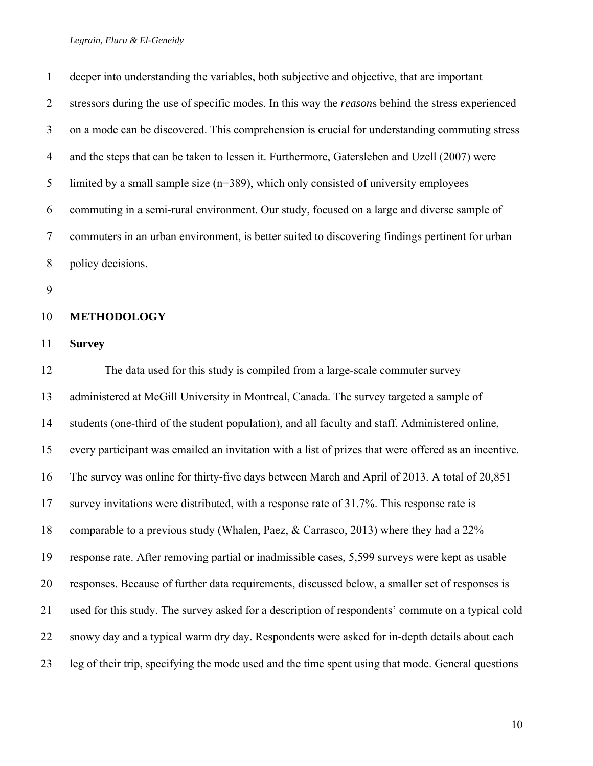| $\mathbf{1}$   | deeper into understanding the variables, both subjective and objective, that are important               |
|----------------|----------------------------------------------------------------------------------------------------------|
| $\overline{2}$ | stressors during the use of specific modes. In this way the <i>reasons</i> behind the stress experienced |
| 3              | on a mode can be discovered. This comprehension is crucial for understanding commuting stress            |
| $\overline{4}$ | and the steps that can be taken to lessen it. Furthermore, Gatersleben and Uzell (2007) were             |
| 5              | limited by a small sample size $(n=389)$ , which only consisted of university employees                  |
| 6              | commuting in a semi-rural environment. Our study, focused on a large and diverse sample of               |
| 7              | commuters in an urban environment, is better suited to discovering findings pertinent for urban          |
| 8              | policy decisions.                                                                                        |
| 9              |                                                                                                          |
| 10             | <b>METHODOLOGY</b>                                                                                       |
| 11             | <b>Survey</b>                                                                                            |
| 12             | The data used for this study is compiled from a large-scale commuter survey                              |
| 13             | administered at McGill University in Montreal, Canada. The survey targeted a sample of                   |
| 14             | students (one-third of the student population), and all faculty and staff. Administered online,          |
| 15             | every participant was emailed an invitation with a list of prizes that were offered as an incentive.     |
| 16             | The survey was online for thirty-five days between March and April of 2013. A total of 20,851            |
| 17             | survey invitations were distributed, with a response rate of 31.7%. This response rate is                |
| 18             | comparable to a previous study (Whalen, Paez, & Carrasco, 2013) where they had a 22%                     |
| 19             | response rate. After removing partial or inadmissible cases, 5,599 surveys were kept as usable           |
| 20             | responses. Because of further data requirements, discussed below, a smaller set of responses is          |
| 21             | used for this study. The survey asked for a description of respondents' commute on a typical cold        |
| 22             |                                                                                                          |

23 leg of their trip, specifying the mode used and the time spent using that mode. General questions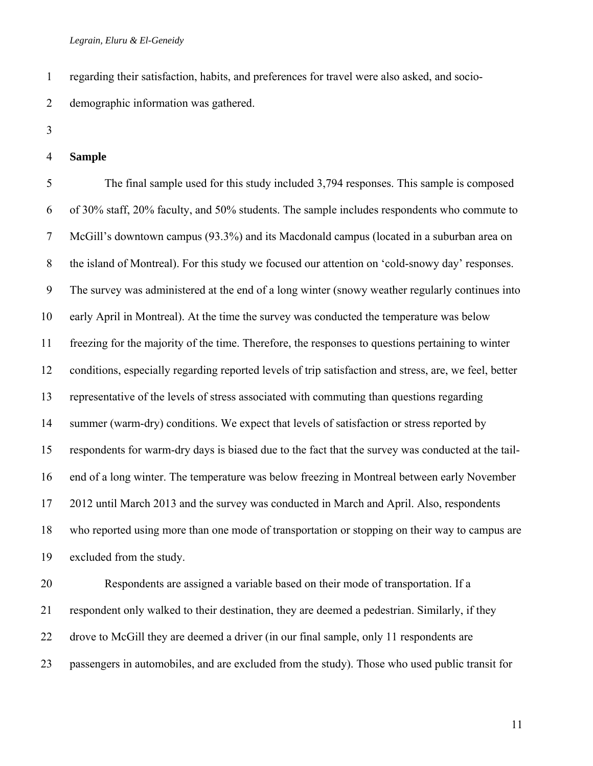1 regarding their satisfaction, habits, and preferences for travel were also asked, and socio-2 demographic information was gathered.

3

#### 4 **Sample**

5 The final sample used for this study included 3,794 responses. This sample is composed 6 of 30% staff, 20% faculty, and 50% students. The sample includes respondents who commute to 7 McGill's downtown campus (93.3%) and its Macdonald campus (located in a suburban area on 8 the island of Montreal). For this study we focused our attention on 'cold-snowy day' responses. 9 The survey was administered at the end of a long winter (snowy weather regularly continues into 10 early April in Montreal). At the time the survey was conducted the temperature was below 11 freezing for the majority of the time. Therefore, the responses to questions pertaining to winter 12 conditions, especially regarding reported levels of trip satisfaction and stress, are, we feel, better 13 representative of the levels of stress associated with commuting than questions regarding 14 summer (warm-dry) conditions. We expect that levels of satisfaction or stress reported by 15 respondents for warm-dry days is biased due to the fact that the survey was conducted at the tail-16 end of a long winter. The temperature was below freezing in Montreal between early November 17 2012 until March 2013 and the survey was conducted in March and April. Also, respondents 18 who reported using more than one mode of transportation or stopping on their way to campus are 19 excluded from the study.

20 Respondents are assigned a variable based on their mode of transportation. If a 21 respondent only walked to their destination, they are deemed a pedestrian. Similarly, if they 22 drove to McGill they are deemed a driver (in our final sample, only 11 respondents are 23 passengers in automobiles, and are excluded from the study). Those who used public transit for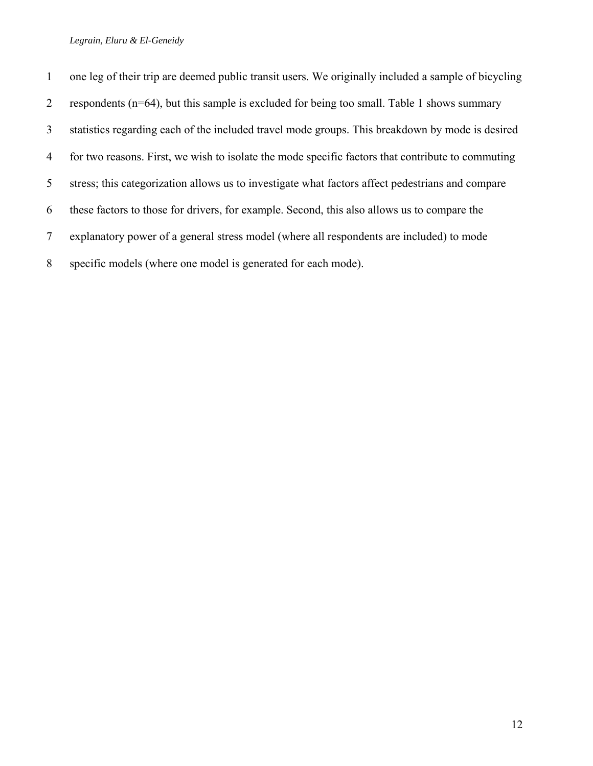| $\mathbf{1}$   | one leg of their trip are deemed public transit users. We originally included a sample of bicycling |
|----------------|-----------------------------------------------------------------------------------------------------|
| $\overline{2}$ | respondents ( $n=64$ ), but this sample is excluded for being too small. Table 1 shows summary      |
| 3              | statistics regarding each of the included travel mode groups. This breakdown by mode is desired     |
| $\overline{4}$ | for two reasons. First, we wish to isolate the mode specific factors that contribute to commuting   |
| 5              | stress; this categorization allows us to investigate what factors affect pedestrians and compare    |
| 6              | these factors to those for drivers, for example. Second, this also allows us to compare the         |
| $\tau$         | explanatory power of a general stress model (where all respondents are included) to mode            |
| 8              | specific models (where one model is generated for each mode).                                       |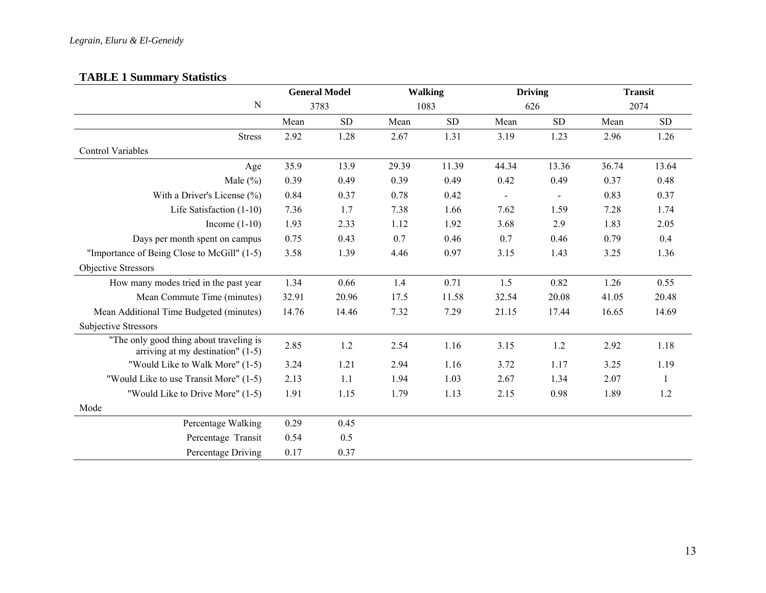# **TABLE 1 Summary Statistics**

|                                                                                | <b>General Model</b> |           | <b>Walking</b> |           | <b>Driving</b> |           | <b>Transit</b> |           |
|--------------------------------------------------------------------------------|----------------------|-----------|----------------|-----------|----------------|-----------|----------------|-----------|
| $\mathbf N$                                                                    | 3783                 |           | 1083           |           | 626            |           | 2074           |           |
|                                                                                | Mean                 | <b>SD</b> | Mean           | <b>SD</b> | Mean           | <b>SD</b> | Mean           | <b>SD</b> |
| <b>Stress</b>                                                                  | 2.92                 | 1.28      | 2.67           | 1.31      | 3.19           | 1.23      | 2.96           | 1.26      |
| <b>Control Variables</b>                                                       |                      |           |                |           |                |           |                |           |
| Age                                                                            | 35.9                 | 13.9      | 29.39          | 11.39     | 44.34          | 13.36     | 36.74          | 13.64     |
| Male $(\% )$                                                                   | 0.39                 | 0.49      | 0.39           | 0.49      | 0.42           | 0.49      | 0.37           | 0.48      |
| With a Driver's License $(\% )$                                                | 0.84                 | 0.37      | 0.78           | 0.42      |                |           | 0.83           | 0.37      |
| Life Satisfaction (1-10)                                                       | 7.36                 | 1.7       | 7.38           | 1.66      | 7.62           | 1.59      | 7.28           | 1.74      |
| Income $(1-10)$                                                                | 1.93                 | 2.33      | 1.12           | 1.92      | 3.68           | 2.9       | 1.83           | 2.05      |
| Days per month spent on campus                                                 | 0.75                 | 0.43      | 0.7            | 0.46      | 0.7            | 0.46      | 0.79           | 0.4       |
| "Importance of Being Close to McGill" (1-5)                                    | 3.58                 | 1.39      | 4.46           | 0.97      | 3.15           | 1.43      | 3.25           | 1.36      |
| Objective Stressors                                                            |                      |           |                |           |                |           |                |           |
| How many modes tried in the past year                                          | 1.34                 | 0.66      | 1.4            | 0.71      | 1.5            | 0.82      | 1.26           | 0.55      |
| Mean Commute Time (minutes)                                                    | 32.91                | 20.96     | 17.5           | 11.58     | 32.54          | 20.08     | 41.05          | 20.48     |
| Mean Additional Time Budgeted (minutes)                                        | 14.76                | 14.46     | 7.32           | 7.29      | 21.15          | 17.44     | 16.65          | 14.69     |
| Subjective Stressors                                                           |                      |           |                |           |                |           |                |           |
| "The only good thing about traveling is<br>arriving at my destination" $(1-5)$ | 2.85                 | 1.2       | 2.54           | 1.16      | 3.15           | 1.2       | 2.92           | 1.18      |
| "Would Like to Walk More" (1-5)                                                | 3.24                 | 1.21      | 2.94           | 1.16      | 3.72           | 1.17      | 3.25           | 1.19      |
| "Would Like to use Transit More" (1-5)                                         | 2.13                 | 1.1       | 1.94           | 1.03      | 2.67           | 1.34      | 2.07           | 1         |
| "Would Like to Drive More" (1-5)                                               | 1.91                 | 1.15      | 1.79           | 1.13      | 2.15           | 0.98      | 1.89           | 1.2       |
| Mode                                                                           |                      |           |                |           |                |           |                |           |
| Percentage Walking                                                             | 0.29                 | 0.45      |                |           |                |           |                |           |
| Percentage Transit                                                             | 0.54                 | 0.5       |                |           |                |           |                |           |
| Percentage Driving                                                             | 0.17                 | 0.37      |                |           |                |           |                |           |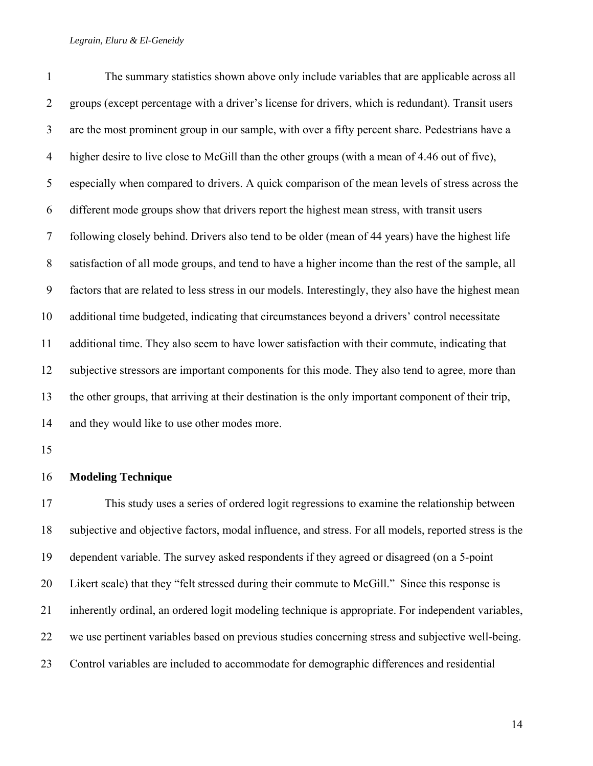1 The summary statistics shown above only include variables that are applicable across all 2 groups (except percentage with a driver's license for drivers, which is redundant). Transit users 3 are the most prominent group in our sample, with over a fifty percent share. Pedestrians have a 4 higher desire to live close to McGill than the other groups (with a mean of 4.46 out of five), 5 especially when compared to drivers. A quick comparison of the mean levels of stress across the 6 different mode groups show that drivers report the highest mean stress, with transit users 7 following closely behind. Drivers also tend to be older (mean of 44 years) have the highest life 8 satisfaction of all mode groups, and tend to have a higher income than the rest of the sample, all 9 factors that are related to less stress in our models. Interestingly, they also have the highest mean 10 additional time budgeted, indicating that circumstances beyond a drivers' control necessitate 11 additional time. They also seem to have lower satisfaction with their commute, indicating that 12 subjective stressors are important components for this mode. They also tend to agree, more than 13 the other groups, that arriving at their destination is the only important component of their trip, 14 and they would like to use other modes more.

15

### 16 **Modeling Technique**

17 This study uses a series of ordered logit regressions to examine the relationship between 18 subjective and objective factors, modal influence, and stress. For all models, reported stress is the 19 dependent variable. The survey asked respondents if they agreed or disagreed (on a 5-point 20 Likert scale) that they "felt stressed during their commute to McGill." Since this response is 21 inherently ordinal, an ordered logit modeling technique is appropriate. For independent variables, 22 we use pertinent variables based on previous studies concerning stress and subjective well-being. 23 Control variables are included to accommodate for demographic differences and residential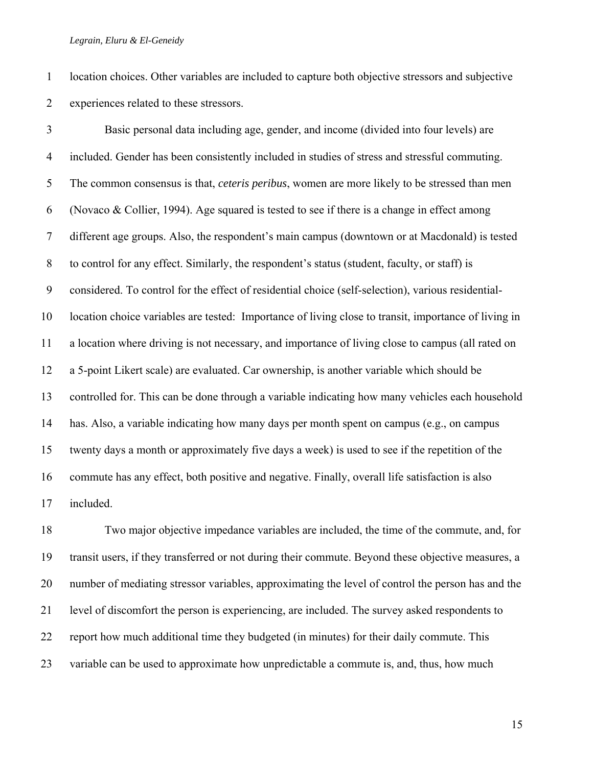1 location choices. Other variables are included to capture both objective stressors and subjective 2 experiences related to these stressors.

3 Basic personal data including age, gender, and income (divided into four levels) are 4 included. Gender has been consistently included in studies of stress and stressful commuting. 5 The common consensus is that, *ceteris peribus*, women are more likely to be stressed than men 6 (Novaco & Collier, 1994). Age squared is tested to see if there is a change in effect among 7 different age groups. Also, the respondent's main campus (downtown or at Macdonald) is tested 8 to control for any effect. Similarly, the respondent's status (student, faculty, or staff) is 9 considered. To control for the effect of residential choice (self-selection), various residential-10 location choice variables are tested: Importance of living close to transit, importance of living in 11 a location where driving is not necessary, and importance of living close to campus (all rated on 12 a 5-point Likert scale) are evaluated. Car ownership, is another variable which should be 13 controlled for. This can be done through a variable indicating how many vehicles each household 14 has. Also, a variable indicating how many days per month spent on campus (e.g., on campus 15 twenty days a month or approximately five days a week) is used to see if the repetition of the 16 commute has any effect, both positive and negative. Finally, overall life satisfaction is also 17 included.

18 Two major objective impedance variables are included, the time of the commute, and, for 19 transit users, if they transferred or not during their commute. Beyond these objective measures, a 20 number of mediating stressor variables, approximating the level of control the person has and the 21 level of discomfort the person is experiencing, are included. The survey asked respondents to 22 report how much additional time they budgeted (in minutes) for their daily commute. This 23 variable can be used to approximate how unpredictable a commute is, and, thus, how much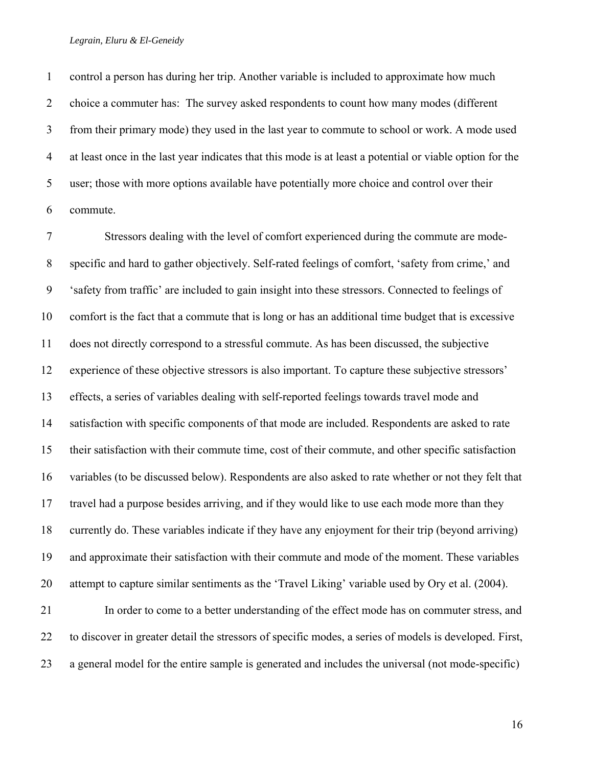1 control a person has during her trip. Another variable is included to approximate how much 2 choice a commuter has: The survey asked respondents to count how many modes (different 3 from their primary mode) they used in the last year to commute to school or work. A mode used 4 at least once in the last year indicates that this mode is at least a potential or viable option for the 5 user; those with more options available have potentially more choice and control over their 6 commute.

7 Stressors dealing with the level of comfort experienced during the commute are mode-8 specific and hard to gather objectively. Self-rated feelings of comfort, 'safety from crime,' and 9 'safety from traffic' are included to gain insight into these stressors. Connected to feelings of 10 comfort is the fact that a commute that is long or has an additional time budget that is excessive 11 does not directly correspond to a stressful commute. As has been discussed, the subjective 12 experience of these objective stressors is also important. To capture these subjective stressors' 13 effects, a series of variables dealing with self-reported feelings towards travel mode and 14 satisfaction with specific components of that mode are included. Respondents are asked to rate 15 their satisfaction with their commute time, cost of their commute, and other specific satisfaction 16 variables (to be discussed below). Respondents are also asked to rate whether or not they felt that 17 travel had a purpose besides arriving, and if they would like to use each mode more than they 18 currently do. These variables indicate if they have any enjoyment for their trip (beyond arriving) 19 and approximate their satisfaction with their commute and mode of the moment. These variables 20 attempt to capture similar sentiments as the 'Travel Liking' variable used by Ory et al. (2004).

21 In order to come to a better understanding of the effect mode has on commuter stress, and 22 to discover in greater detail the stressors of specific modes, a series of models is developed. First, 23 a general model for the entire sample is generated and includes the universal (not mode-specific)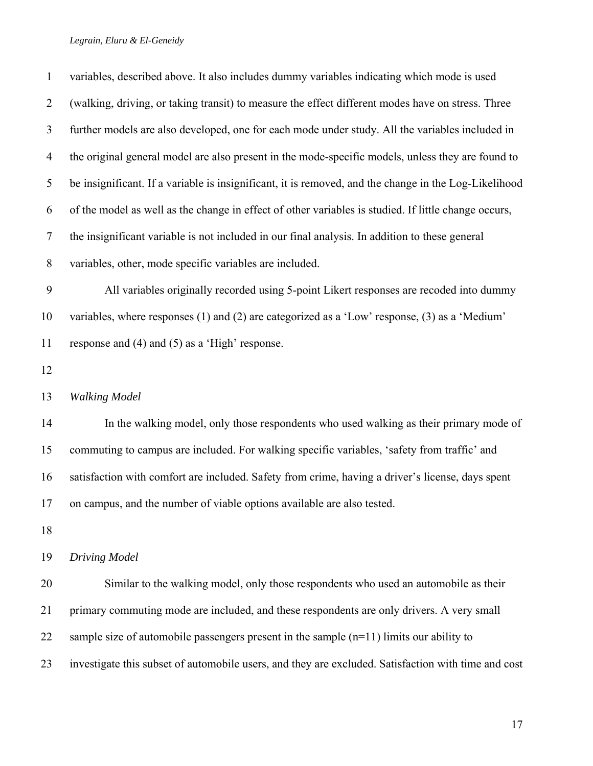| $\mathbf{1}$   | variables, described above. It also includes dummy variables indicating which mode is used            |
|----------------|-------------------------------------------------------------------------------------------------------|
| $\overline{2}$ | (walking, driving, or taking transit) to measure the effect different modes have on stress. Three     |
| 3              | further models are also developed, one for each mode under study. All the variables included in       |
| $\overline{4}$ | the original general model are also present in the mode-specific models, unless they are found to     |
| 5              | be insignificant. If a variable is insignificant, it is removed, and the change in the Log-Likelihood |
| 6              | of the model as well as the change in effect of other variables is studied. If little change occurs,  |
| $\overline{7}$ | the insignificant variable is not included in our final analysis. In addition to these general        |
| 8              | variables, other, mode specific variables are included.                                               |
| 9              | All variables originally recorded using 5-point Likert responses are recoded into dummy               |
| 10             | variables, where responses (1) and (2) are categorized as a 'Low' response, (3) as a 'Medium'         |
| 11             | response and $(4)$ and $(5)$ as a 'High' response.                                                    |
| 12             |                                                                                                       |
| 13             | <b>Walking Model</b>                                                                                  |
| 14             | In the walking model, only those respondents who used walking as their primary mode of                |
| 15             | commuting to campus are included. For walking specific variables, 'safety from traffic' and           |
| 16             | satisfaction with comfort are included. Safety from crime, having a driver's license, days spent      |
| 17             | on campus, and the number of viable options available are also tested.                                |
| 18             |                                                                                                       |
| 19             | Driving Model                                                                                         |
| 20             | Similar to the walking model, only those respondents who used an automobile as their                  |
| 21             | primary commuting mode are included, and these respondents are only drivers. A very small             |

22 sample size of automobile passengers present in the sample (n=11) limits our ability to

23 investigate this subset of automobile users, and they are excluded. Satisfaction with time and cost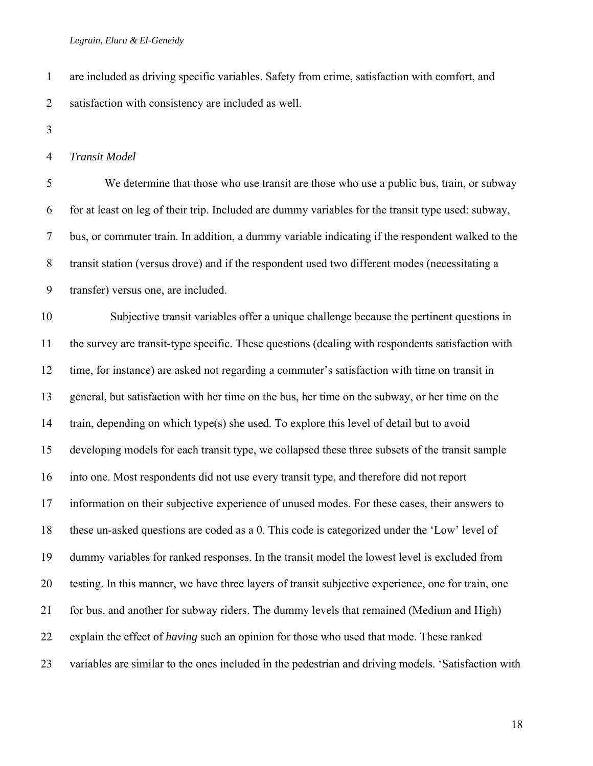1 are included as driving specific variables. Safety from crime, satisfaction with comfort, and 2 satisfaction with consistency are included as well.

3

4 *Transit Model* 

5 We determine that those who use transit are those who use a public bus, train, or subway 6 for at least on leg of their trip. Included are dummy variables for the transit type used: subway, 7 bus, or commuter train. In addition, a dummy variable indicating if the respondent walked to the 8 transit station (versus drove) and if the respondent used two different modes (necessitating a 9 transfer) versus one, are included.

10 Subjective transit variables offer a unique challenge because the pertinent questions in 11 the survey are transit-type specific. These questions (dealing with respondents satisfaction with 12 time, for instance) are asked not regarding a commuter's satisfaction with time on transit in 13 general, but satisfaction with her time on the bus, her time on the subway, or her time on the 14 train, depending on which type(s) she used. To explore this level of detail but to avoid 15 developing models for each transit type, we collapsed these three subsets of the transit sample 16 into one. Most respondents did not use every transit type, and therefore did not report 17 information on their subjective experience of unused modes. For these cases, their answers to 18 these un-asked questions are coded as a 0. This code is categorized under the 'Low' level of 19 dummy variables for ranked responses. In the transit model the lowest level is excluded from 20 testing. In this manner, we have three layers of transit subjective experience, one for train, one 21 for bus, and another for subway riders. The dummy levels that remained (Medium and High) 22 explain the effect of *having* such an opinion for those who used that mode. These ranked 23 variables are similar to the ones included in the pedestrian and driving models. 'Satisfaction with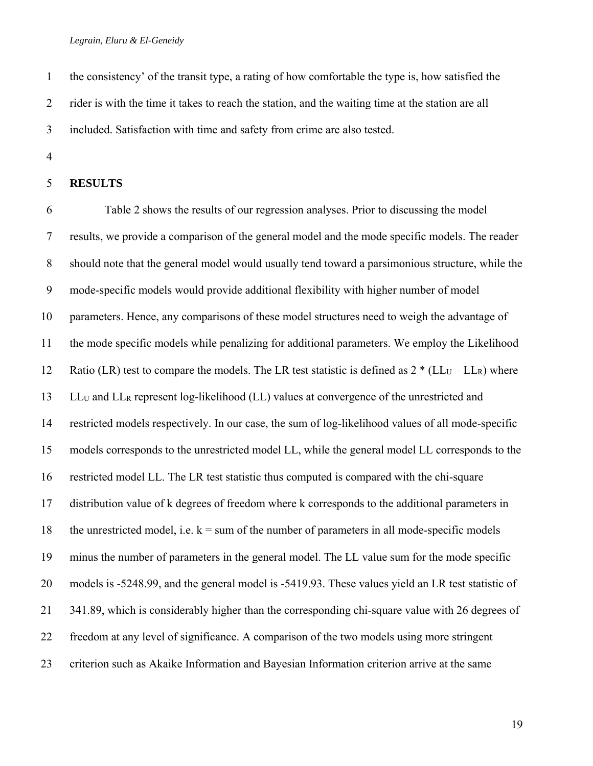1 the consistency' of the transit type, a rating of how comfortable the type is, how satisfied the 2 rider is with the time it takes to reach the station, and the waiting time at the station are all 3 included. Satisfaction with time and safety from crime are also tested.

4

### 5 **RESULTS**

6 Table 2 shows the results of our regression analyses. Prior to discussing the model 7 results, we provide a comparison of the general model and the mode specific models. The reader 8 should note that the general model would usually tend toward a parsimonious structure, while the 9 mode-specific models would provide additional flexibility with higher number of model 10 parameters. Hence, any comparisons of these model structures need to weigh the advantage of 11 the mode specific models while penalizing for additional parameters. We employ the Likelihood 12 Ratio (LR) test to compare the models. The LR test statistic is defined as  $2 * (LLU - LLR)$  where 13 LLU and LLR represent log-likelihood (LL) values at convergence of the unrestricted and 14 restricted models respectively. In our case, the sum of log-likelihood values of all mode-specific 15 models corresponds to the unrestricted model LL, while the general model LL corresponds to the 16 restricted model LL. The LR test statistic thus computed is compared with the chi-square 17 distribution value of k degrees of freedom where k corresponds to the additional parameters in 18 the unrestricted model, i.e.  $k = sum$  of the number of parameters in all mode-specific models 19 minus the number of parameters in the general model. The LL value sum for the mode specific 20 models is -5248.99, and the general model is -5419.93. These values yield an LR test statistic of 21 341.89, which is considerably higher than the corresponding chi-square value with 26 degrees of 22 freedom at any level of significance. A comparison of the two models using more stringent 23 criterion such as Akaike Information and Bayesian Information criterion arrive at the same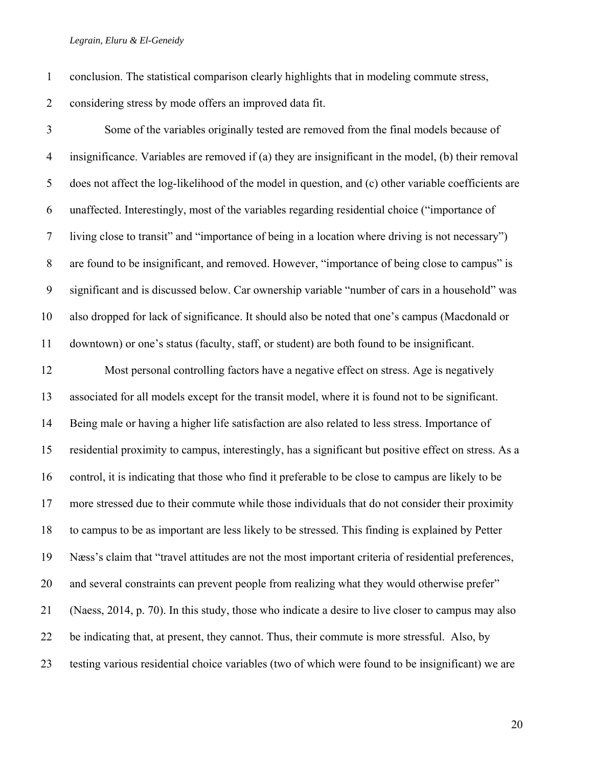1 conclusion. The statistical comparison clearly highlights that in modeling commute stress,

2 considering stress by mode offers an improved data fit.

3 Some of the variables originally tested are removed from the final models because of 4 insignificance. Variables are removed if (a) they are insignificant in the model, (b) their removal 5 does not affect the log-likelihood of the model in question, and (c) other variable coefficients are 6 unaffected. Interestingly, most of the variables regarding residential choice ("importance of 7 living close to transit" and "importance of being in a location where driving is not necessary") 8 are found to be insignificant, and removed. However, "importance of being close to campus" is 9 significant and is discussed below. Car ownership variable "number of cars in a household" was 10 also dropped for lack of significance. It should also be noted that one's campus (Macdonald or 11 downtown) or one's status (faculty, staff, or student) are both found to be insignificant.

12 Most personal controlling factors have a negative effect on stress. Age is negatively 13 associated for all models except for the transit model, where it is found not to be significant. 14 Being male or having a higher life satisfaction are also related to less stress. Importance of 15 residential proximity to campus, interestingly, has a significant but positive effect on stress. As a 16 control, it is indicating that those who find it preferable to be close to campus are likely to be 17 more stressed due to their commute while those individuals that do not consider their proximity 18 to campus to be as important are less likely to be stressed. This finding is explained by Petter 19 Næss's claim that "travel attitudes are not the most important criteria of residential preferences, 20 and several constraints can prevent people from realizing what they would otherwise prefer" 21 (Naess, 2014, p. 70). In this study, those who indicate a desire to live closer to campus may also 22 be indicating that, at present, they cannot. Thus, their commute is more stressful. Also, by 23 testing various residential choice variables (two of which were found to be insignificant) we are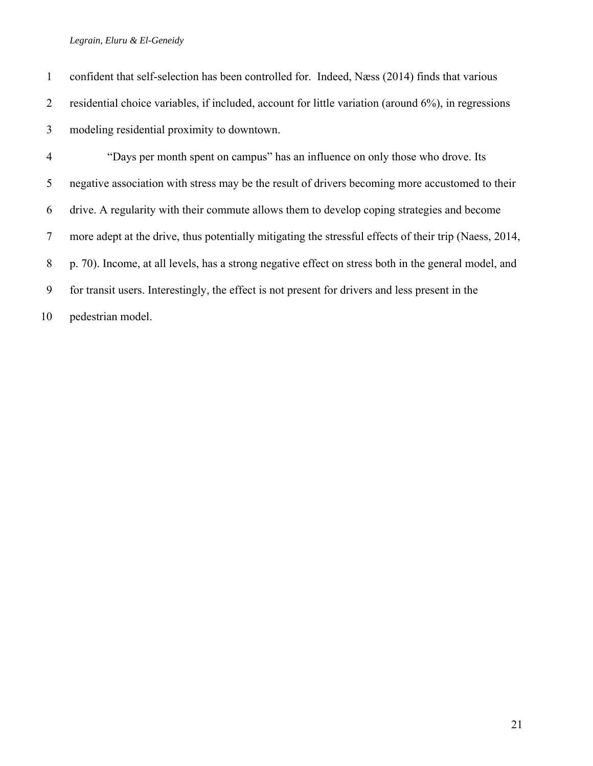1 confident that self-selection has been controlled for. Indeed, Næss (2014) finds that various 2 residential choice variables, if included, account for little variation (around 6%), in regressions 3 modeling residential proximity to downtown. 4 "Days per month spent on campus" has an influence on only those who drove. Its 5 negative association with stress may be the result of drivers becoming more accustomed to their 6 drive. A regularity with their commute allows them to develop coping strategies and become 7 more adept at the drive, thus potentially mitigating the stressful effects of their trip (Naess, 2014, 8 p. 70). Income, at all levels, has a strong negative effect on stress both in the general model, and 9 for transit users. Interestingly, the effect is not present for drivers and less present in the

10 pedestrian model.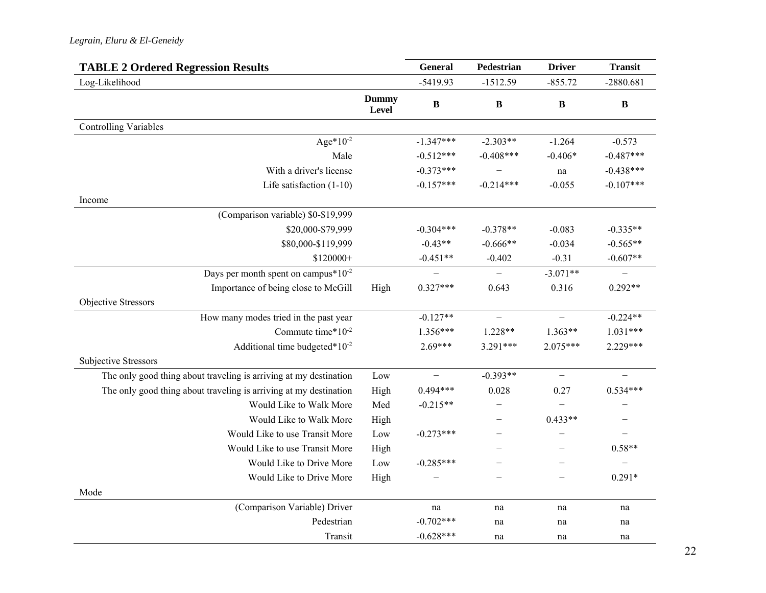| <b>TABLE 2 Ordered Regression Results</b>                         |                       | General     | Pedestrian               | <b>Driver</b>            | <b>Transit</b>    |
|-------------------------------------------------------------------|-----------------------|-------------|--------------------------|--------------------------|-------------------|
| Log-Likelihood                                                    |                       | $-5419.93$  | $-1512.59$               | $-855.72$                | $-2880.681$       |
|                                                                   | <b>Dummy</b><br>Level | $\bf{B}$    | $\, {\bf B}$             | $\mathbf{B}$             | $\bf{B}$          |
| <b>Controlling Variables</b>                                      |                       |             |                          |                          |                   |
| Age* $10^{-2}$                                                    |                       | $-1.347***$ | $-2.303**$               | $-1.264$                 | $-0.573$          |
| Male                                                              |                       | $-0.512***$ | $-0.408***$              | $-0.406*$                | $-0.487***$       |
| With a driver's license                                           |                       | $-0.373***$ |                          | na                       | $-0.438***$       |
| Life satisfaction $(1-10)$                                        |                       | $-0.157***$ | $-0.214***$              | $-0.055$                 | $-0.107***$       |
| Income                                                            |                       |             |                          |                          |                   |
| (Comparison variable) \$0-\$19,999                                |                       |             |                          |                          |                   |
| \$20,000-\$79,999                                                 |                       | $-0.304***$ | $-0.378**$               | $-0.083$                 | $-0.335**$        |
| \$80,000-\$119,999                                                |                       | $-0.43**$   | $-0.666**$               | $-0.034$                 | $-0.565**$        |
| \$120000+                                                         |                       | $-0.451**$  | $-0.402$                 | $-0.31$                  | $-0.607**$        |
| Days per month spent on campus $*10^{-2}$                         |                       |             |                          | $-3.071**$               |                   |
| Importance of being close to McGill                               | High                  | $0.327***$  | 0.643                    | 0.316                    | $0.292**$         |
| Objective Stressors                                               |                       |             |                          |                          |                   |
| How many modes tried in the past year                             |                       | $-0.127**$  | $\equiv$                 | $\equiv$                 | $-0.224**$        |
| Commute time*10-2                                                 |                       | $1.356***$  | $1.228**$                | $1.363**$                | $1.031***$        |
| Additional time budgeted*10 <sup>-2</sup>                         |                       | $2.69***$   | $3.291***$               | $2.075***$               | $2.229***$        |
| <b>Subjective Stressors</b>                                       |                       |             |                          |                          |                   |
| The only good thing about traveling is arriving at my destination | Low                   |             | $-0.393**$               | $\equiv$                 |                   |
| The only good thing about traveling is arriving at my destination | High                  | $0.494***$  | 0.028                    | 0.27                     | $0.534***$        |
| Would Like to Walk More                                           | Med                   | $-0.215**$  | $\qquad \qquad -$        |                          |                   |
| Would Like to Walk More                                           | High                  |             | $\overline{\phantom{0}}$ | $0.433**$                | $\qquad \qquad -$ |
| Would Like to use Transit More                                    | Low                   | $-0.273***$ |                          |                          |                   |
| Would Like to use Transit More                                    | High                  |             |                          | $\overline{\phantom{0}}$ | $0.58**$          |
| Would Like to Drive More                                          | Low                   | $-0.285***$ |                          | $\overline{\phantom{0}}$ |                   |
| Would Like to Drive More                                          | High                  |             | $\overline{\phantom{0}}$ | $\overline{\phantom{0}}$ | $0.291*$          |
| Mode                                                              |                       |             |                          |                          |                   |
| (Comparison Variable) Driver                                      |                       | na          | na                       | na                       | na                |
| Pedestrian                                                        |                       | $-0.702***$ | na                       | na                       | na                |
| Transit                                                           |                       | $-0.628***$ | na                       | na                       | na                |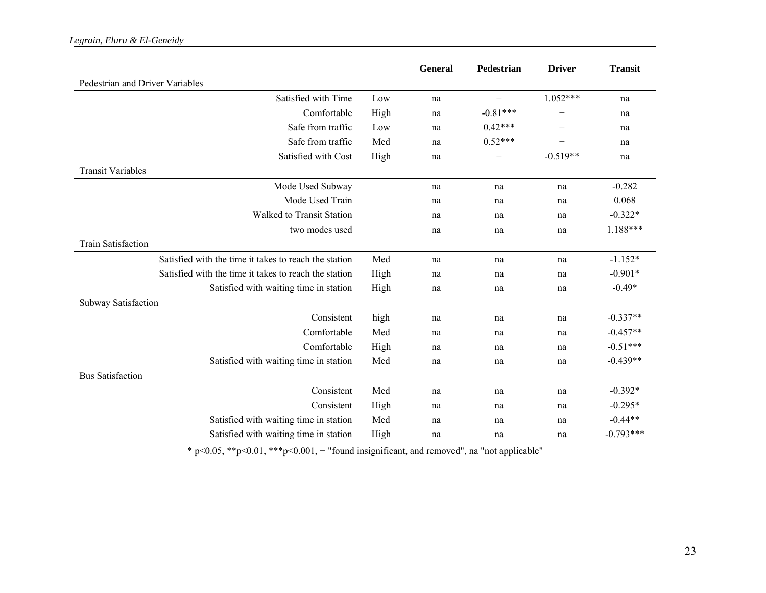|                                                       |      | General | Pedestrian | <b>Driver</b>            | <b>Transit</b> |
|-------------------------------------------------------|------|---------|------------|--------------------------|----------------|
| Pedestrian and Driver Variables                       |      |         |            |                          |                |
| Satisfied with Time                                   | Low  | na      |            | $1.052***$               | na             |
| Comfortable                                           | High | na      | $-0.81***$ |                          | na             |
| Safe from traffic                                     | Low  | na      | $0.42***$  |                          | na             |
| Safe from traffic                                     | Med  | na      | $0.52***$  | $\overline{\phantom{0}}$ | na             |
| Satisfied with Cost                                   | High | na      |            | $-0.519**$               | na             |
| <b>Transit Variables</b>                              |      |         |            |                          |                |
| Mode Used Subway                                      |      | na      | na         | na                       | $-0.282$       |
| Mode Used Train                                       |      | na      | na         | na                       | 0.068          |
| Walked to Transit Station                             |      | na      | na         | na                       | $-0.322*$      |
| two modes used                                        |      | na      | na         | na                       | 1.188***       |
| <b>Train Satisfaction</b>                             |      |         |            |                          |                |
| Satisfied with the time it takes to reach the station | Med  | na      | na         | na                       | $-1.152*$      |
| Satisfied with the time it takes to reach the station | High | na      | na         | na                       | $-0.901*$      |
| Satisfied with waiting time in station                | High | na      | na         | na                       | $-0.49*$       |
| Subway Satisfaction                                   |      |         |            |                          |                |
| Consistent                                            | high | na      | na         | na                       | $-0.337**$     |
| Comfortable                                           | Med  | na      | na         | na                       | $-0.457**$     |
| Comfortable                                           | High | na      | na         | na                       | $-0.51***$     |
| Satisfied with waiting time in station                | Med  | na      | na         | na                       | $-0.439**$     |
| <b>Bus Satisfaction</b>                               |      |         |            |                          |                |
| Consistent                                            | Med  | na      | na         | na                       | $-0.392*$      |
| Consistent                                            | High | na      | na         | na                       | $-0.295*$      |
| Satisfied with waiting time in station                | Med  | na      | na         | na                       | $-0.44**$      |
| Satisfied with waiting time in station                | High | na      | na         | na                       | $-0.793***$    |

\* p<0.05, \*\*p<0.01, \*\*\*p<0.001, <sup>−</sup> "found insignificant, and removed", na "not applicable"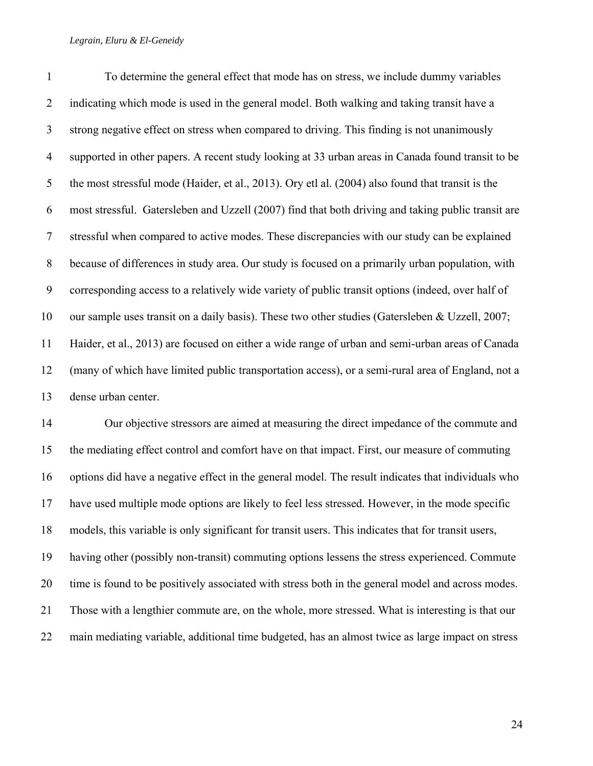1 To determine the general effect that mode has on stress, we include dummy variables 2 indicating which mode is used in the general model. Both walking and taking transit have a 3 strong negative effect on stress when compared to driving. This finding is not unanimously 4 supported in other papers. A recent study looking at 33 urban areas in Canada found transit to be 5 the most stressful mode (Haider, et al., 2013). Ory etl al. (2004) also found that transit is the 6 most stressful. Gatersleben and Uzzell (2007) find that both driving and taking public transit are 7 stressful when compared to active modes. These discrepancies with our study can be explained 8 because of differences in study area. Our study is focused on a primarily urban population, with 9 corresponding access to a relatively wide variety of public transit options (indeed, over half of 10 our sample uses transit on a daily basis). These two other studies (Gatersleben & Uzzell, 2007; 11 Haider, et al., 2013) are focused on either a wide range of urban and semi-urban areas of Canada 12 (many of which have limited public transportation access), or a semi-rural area of England, not a 13 dense urban center.

14 Our objective stressors are aimed at measuring the direct impedance of the commute and 15 the mediating effect control and comfort have on that impact. First, our measure of commuting 16 options did have a negative effect in the general model. The result indicates that individuals who 17 have used multiple mode options are likely to feel less stressed. However, in the mode specific 18 models, this variable is only significant for transit users. This indicates that for transit users, 19 having other (possibly non-transit) commuting options lessens the stress experienced. Commute 20 time is found to be positively associated with stress both in the general model and across modes. 21 Those with a lengthier commute are, on the whole, more stressed. What is interesting is that our 22 main mediating variable, additional time budgeted, has an almost twice as large impact on stress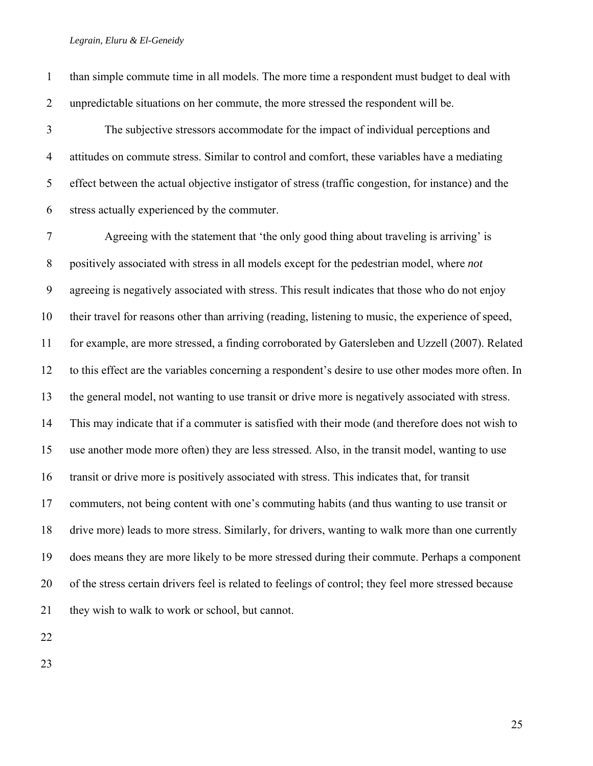1 than simple commute time in all models. The more time a respondent must budget to deal with 2 unpredictable situations on her commute, the more stressed the respondent will be.

3 The subjective stressors accommodate for the impact of individual perceptions and 4 attitudes on commute stress. Similar to control and comfort, these variables have a mediating 5 effect between the actual objective instigator of stress (traffic congestion, for instance) and the 6 stress actually experienced by the commuter.

7 Agreeing with the statement that 'the only good thing about traveling is arriving' is 8 positively associated with stress in all models except for the pedestrian model, where *not* 9 agreeing is negatively associated with stress. This result indicates that those who do not enjoy 10 their travel for reasons other than arriving (reading, listening to music, the experience of speed, 11 for example, are more stressed, a finding corroborated by Gatersleben and Uzzell (2007). Related 12 to this effect are the variables concerning a respondent's desire to use other modes more often. In 13 the general model, not wanting to use transit or drive more is negatively associated with stress. 14 This may indicate that if a commuter is satisfied with their mode (and therefore does not wish to 15 use another mode more often) they are less stressed. Also, in the transit model, wanting to use 16 transit or drive more is positively associated with stress. This indicates that, for transit 17 commuters, not being content with one's commuting habits (and thus wanting to use transit or 18 drive more) leads to more stress. Similarly, for drivers, wanting to walk more than one currently 19 does means they are more likely to be more stressed during their commute. Perhaps a component 20 of the stress certain drivers feel is related to feelings of control; they feel more stressed because 21 they wish to walk to work or school, but cannot.

22

23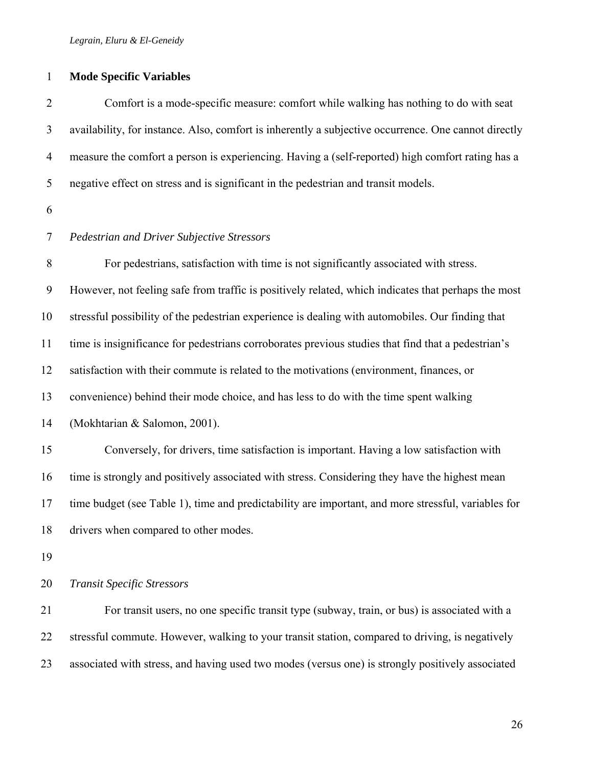## 1 **Mode Specific Variables**

2 Comfort is a mode-specific measure: comfort while walking has nothing to do with seat 3 availability, for instance. Also, comfort is inherently a subjective occurrence. One cannot directly 4 measure the comfort a person is experiencing. Having a (self-reported) high comfort rating has a 5 negative effect on stress and is significant in the pedestrian and transit models.

6

## 7 *Pedestrian and Driver Subjective Stressors*

8 For pedestrians, satisfaction with time is not significantly associated with stress. 9 However, not feeling safe from traffic is positively related, which indicates that perhaps the most 10 stressful possibility of the pedestrian experience is dealing with automobiles. Our finding that 11 time is insignificance for pedestrians corroborates previous studies that find that a pedestrian's 12 satisfaction with their commute is related to the motivations (environment, finances, or 13 convenience) behind their mode choice, and has less to do with the time spent walking 14 (Mokhtarian & Salomon, 2001). 15 Conversely, for drivers, time satisfaction is important. Having a low satisfaction with 16 time is strongly and positively associated with stress. Considering they have the highest mean 17 time budget (see Table 1), time and predictability are important, and more stressful, variables for

18 drivers when compared to other modes.

19

20 *Transit Specific Stressors* 

21 For transit users, no one specific transit type (subway, train, or bus) is associated with a 22 stressful commute. However, walking to your transit station, compared to driving, is negatively 23 associated with stress, and having used two modes (versus one) is strongly positively associated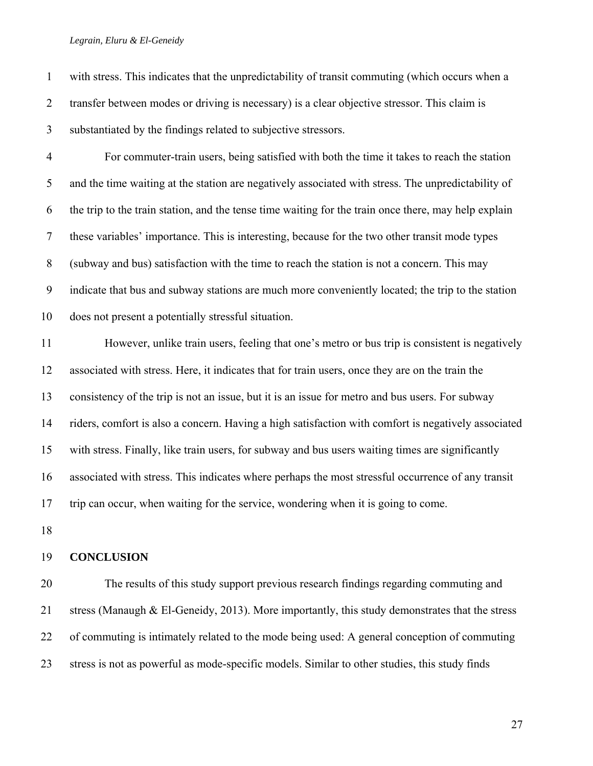1 with stress. This indicates that the unpredictability of transit commuting (which occurs when a 2 transfer between modes or driving is necessary) is a clear objective stressor. This claim is 3 substantiated by the findings related to subjective stressors.

4 For commuter-train users, being satisfied with both the time it takes to reach the station 5 and the time waiting at the station are negatively associated with stress. The unpredictability of 6 the trip to the train station, and the tense time waiting for the train once there, may help explain 7 these variables' importance. This is interesting, because for the two other transit mode types 8 (subway and bus) satisfaction with the time to reach the station is not a concern. This may 9 indicate that bus and subway stations are much more conveniently located; the trip to the station 10 does not present a potentially stressful situation.

11 However, unlike train users, feeling that one's metro or bus trip is consistent is negatively 12 associated with stress. Here, it indicates that for train users, once they are on the train the 13 consistency of the trip is not an issue, but it is an issue for metro and bus users. For subway 14 riders, comfort is also a concern. Having a high satisfaction with comfort is negatively associated 15 with stress. Finally, like train users, for subway and bus users waiting times are significantly 16 associated with stress. This indicates where perhaps the most stressful occurrence of any transit 17 trip can occur, when waiting for the service, wondering when it is going to come.

18

#### 19 **CONCLUSION**

20 The results of this study support previous research findings regarding commuting and 21 stress (Manaugh & El-Geneidy, 2013). More importantly, this study demonstrates that the stress 22 of commuting is intimately related to the mode being used: A general conception of commuting 23 stress is not as powerful as mode-specific models. Similar to other studies, this study finds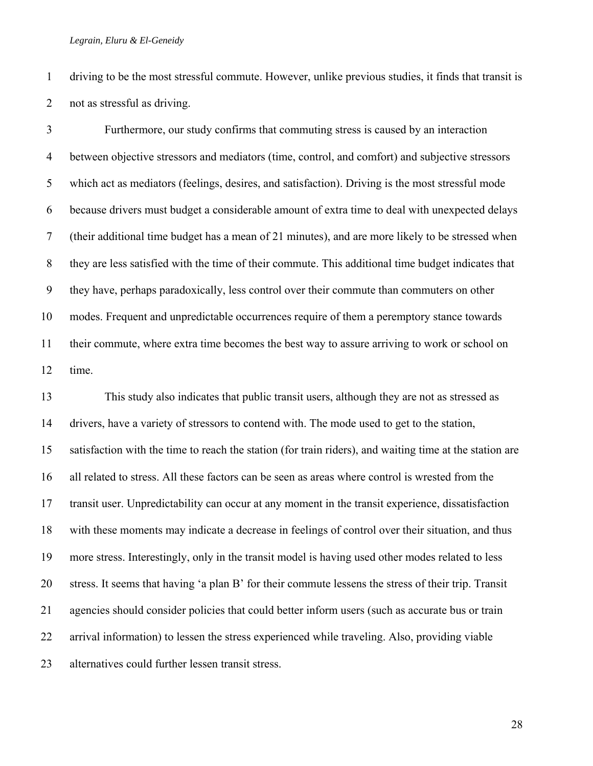1 driving to be the most stressful commute. However, unlike previous studies, it finds that transit is 2 not as stressful as driving.

3 Furthermore, our study confirms that commuting stress is caused by an interaction 4 between objective stressors and mediators (time, control, and comfort) and subjective stressors 5 which act as mediators (feelings, desires, and satisfaction). Driving is the most stressful mode 6 because drivers must budget a considerable amount of extra time to deal with unexpected delays 7 (their additional time budget has a mean of 21 minutes), and are more likely to be stressed when 8 they are less satisfied with the time of their commute. This additional time budget indicates that 9 they have, perhaps paradoxically, less control over their commute than commuters on other 10 modes. Frequent and unpredictable occurrences require of them a peremptory stance towards 11 their commute, where extra time becomes the best way to assure arriving to work or school on 12 time.

13 This study also indicates that public transit users, although they are not as stressed as 14 drivers, have a variety of stressors to contend with. The mode used to get to the station, 15 satisfaction with the time to reach the station (for train riders), and waiting time at the station are 16 all related to stress. All these factors can be seen as areas where control is wrested from the 17 transit user. Unpredictability can occur at any moment in the transit experience, dissatisfaction 18 with these moments may indicate a decrease in feelings of control over their situation, and thus 19 more stress. Interestingly, only in the transit model is having used other modes related to less 20 stress. It seems that having 'a plan B' for their commute lessens the stress of their trip. Transit 21 agencies should consider policies that could better inform users (such as accurate bus or train 22 arrival information) to lessen the stress experienced while traveling. Also, providing viable 23 alternatives could further lessen transit stress.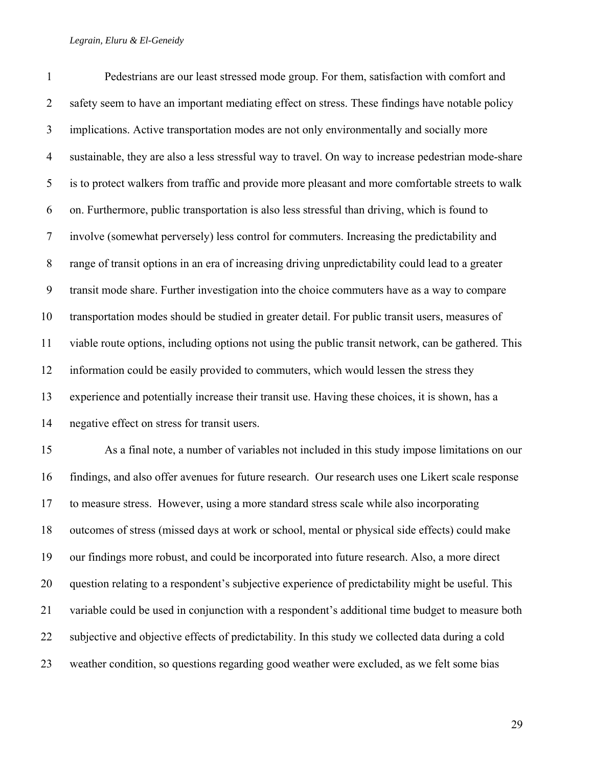1 Pedestrians are our least stressed mode group. For them, satisfaction with comfort and 2 safety seem to have an important mediating effect on stress. These findings have notable policy 3 implications. Active transportation modes are not only environmentally and socially more 4 sustainable, they are also a less stressful way to travel. On way to increase pedestrian mode-share 5 is to protect walkers from traffic and provide more pleasant and more comfortable streets to walk 6 on. Furthermore, public transportation is also less stressful than driving, which is found to 7 involve (somewhat perversely) less control for commuters. Increasing the predictability and 8 range of transit options in an era of increasing driving unpredictability could lead to a greater 9 transit mode share. Further investigation into the choice commuters have as a way to compare 10 transportation modes should be studied in greater detail. For public transit users, measures of 11 viable route options, including options not using the public transit network, can be gathered. This 12 information could be easily provided to commuters, which would lessen the stress they 13 experience and potentially increase their transit use. Having these choices, it is shown, has a 14 negative effect on stress for transit users.

15 As a final note, a number of variables not included in this study impose limitations on our 16 findings, and also offer avenues for future research. Our research uses one Likert scale response 17 to measure stress. However, using a more standard stress scale while also incorporating 18 outcomes of stress (missed days at work or school, mental or physical side effects) could make 19 our findings more robust, and could be incorporated into future research. Also, a more direct 20 question relating to a respondent's subjective experience of predictability might be useful. This 21 variable could be used in conjunction with a respondent's additional time budget to measure both 22 subjective and objective effects of predictability. In this study we collected data during a cold 23 weather condition, so questions regarding good weather were excluded, as we felt some bias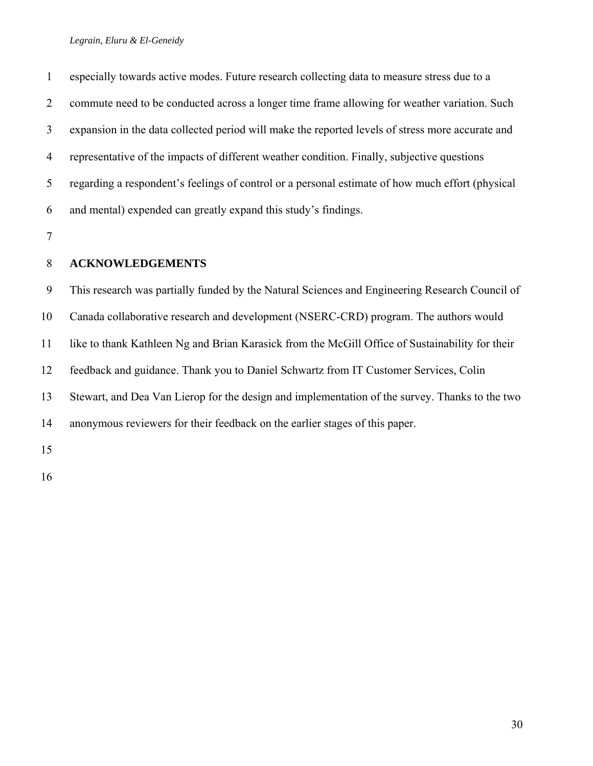1 especially towards active modes. Future research collecting data to measure stress due to a 2 commute need to be conducted across a longer time frame allowing for weather variation. Such 3 expansion in the data collected period will make the reported levels of stress more accurate and 4 representative of the impacts of different weather condition. Finally, subjective questions 5 regarding a respondent's feelings of control or a personal estimate of how much effort (physical 6 and mental) expended can greatly expand this study's findings.

7

## 8 **ACKNOWLEDGEMENTS**

9 This research was partially funded by the Natural Sciences and Engineering Research Council of 10 Canada collaborative research and development (NSERC-CRD) program. The authors would 11 like to thank Kathleen Ng and Brian Karasick from the McGill Office of Sustainability for their 12 feedback and guidance. Thank you to Daniel Schwartz from IT Customer Services, Colin 13 Stewart, and Dea Van Lierop for the design and implementation of the survey. Thanks to the two 14 anonymous reviewers for their feedback on the earlier stages of this paper.

15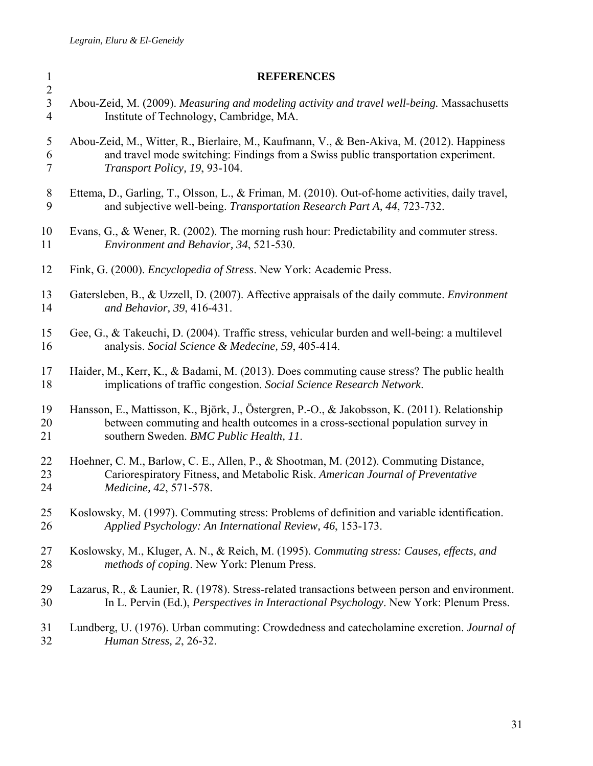| $\mathbf{1}$<br>$\overline{c}$ | <b>REFERENCES</b>                                                                                   |
|--------------------------------|-----------------------------------------------------------------------------------------------------|
| $\overline{3}$                 | Abou-Zeid, M. (2009). Measuring and modeling activity and travel well-being. Massachusetts          |
| $\overline{4}$                 | Institute of Technology, Cambridge, MA.                                                             |
| 5                              | Abou-Zeid, M., Witter, R., Bierlaire, M., Kaufmann, V., & Ben-Akiva, M. (2012). Happiness           |
| 6                              | and travel mode switching: Findings from a Swiss public transportation experiment.                  |
| $\overline{7}$                 | Transport Policy, 19, 93-104.                                                                       |
| $8\,$                          | Ettema, D., Garling, T., Olsson, L., & Friman, M. (2010). Out-of-home activities, daily travel,     |
| 9                              | and subjective well-being. Transportation Research Part A, 44, 723-732.                             |
| 10                             | Evans, G., & Wener, R. (2002). The morning rush hour: Predictability and commuter stress.           |
| 11                             | Environment and Behavior, 34, 521-530.                                                              |
| 12                             | Fink, G. (2000). <i>Encyclopedia of Stress</i> . New York: Academic Press.                          |
| 13                             | Gatersleben, B., & Uzzell, D. (2007). Affective appraisals of the daily commute. <i>Environment</i> |
| 14                             | and Behavior, 39, 416-431.                                                                          |
| 15                             | Gee, G., & Takeuchi, D. (2004). Traffic stress, vehicular burden and well-being: a multilevel       |
| 16                             | analysis. Social Science & Medecine, 59, 405-414.                                                   |
| 17                             | Haider, M., Kerr, K., & Badami, M. (2013). Does commuting cause stress? The public health           |
| 18                             | implications of traffic congestion. Social Science Research Network.                                |
| 19                             | Hansson, E., Mattisson, K., Björk, J., Östergren, P.-O., & Jakobsson, K. (2011). Relationship       |
| 20                             | between commuting and health outcomes in a cross-sectional population survey in                     |
| 21                             | southern Sweden. BMC Public Health, 11.                                                             |
| 22                             | Hoehner, C. M., Barlow, C. E., Allen, P., & Shootman, M. (2012). Commuting Distance,                |
| 23                             | Cariorespiratory Fitness, and Metabolic Risk. American Journal of Preventative                      |
| 24                             | Medicine, 42, 571-578.                                                                              |
| 25                             | Koslowsky, M. (1997). Commuting stress: Problems of definition and variable identification.         |
| 26                             | Applied Psychology: An International Review, 46, 153-173.                                           |
| 27                             | Koslowsky, M., Kluger, A. N., & Reich, M. (1995). Commuting stress: Causes, effects, and            |
| 28                             | <i>methods of coping.</i> New York: Plenum Press.                                                   |
| 29                             | Lazarus, R., & Launier, R. (1978). Stress-related transactions between person and environment.      |
| 30                             | In L. Pervin (Ed.), <i>Perspectives in Interactional Psychology</i> . New York: Plenum Press.       |
| 31                             | Lundberg, U. (1976). Urban commuting: Crowdedness and catecholamine excretion. Journal of           |
| 32                             | Human Stress, 2, 26-32.                                                                             |
|                                |                                                                                                     |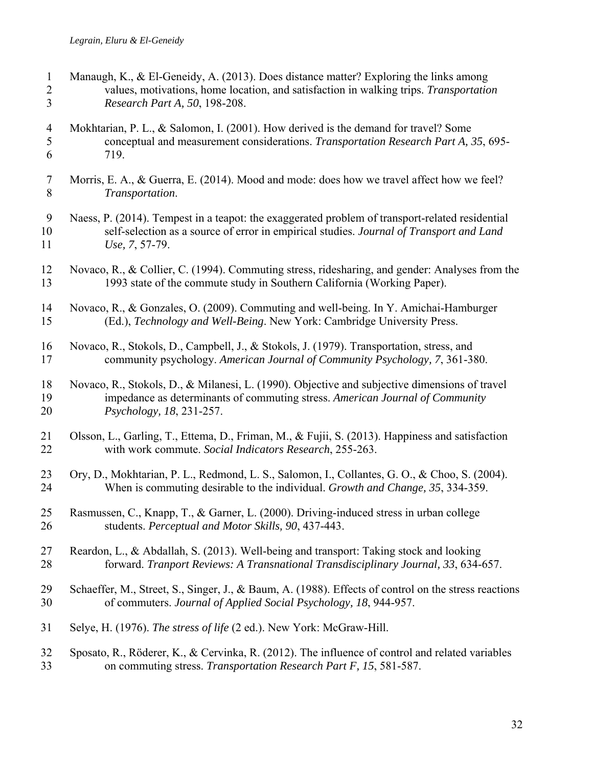- 1 Manaugh, K., & El-Geneidy, A. (2013). Does distance matter? Exploring the links among 2 values, motivations, home location, and satisfaction in walking trips. *Transportation*  3 *Research Part A, 50*, 198-208.
- 4 Mokhtarian, P. L., & Salomon, I. (2001). How derived is the demand for travel? Some 5 conceptual and measurement considerations. *Transportation Research Part A, 35*, 695- 6 719.
- 7 Morris, E. A., & Guerra, E. (2014). Mood and mode: does how we travel affect how we feel? 8 *Transportation*.
- 9 Naess, P. (2014). Tempest in a teapot: the exaggerated problem of transport-related residential 10 self-selection as a source of error in empirical studies. *Journal of Transport and Land*  11 *Use, 7*, 57-79.
- 12 Novaco, R., & Collier, C. (1994). Commuting stress, ridesharing, and gender: Analyses from the 13 1993 state of the commute study in Southern California (Working Paper).
- 14 Novaco, R., & Gonzales, O. (2009). Commuting and well-being. In Y. Amichai-Hamburger 15 (Ed.), *Technology and Well-Being*. New York: Cambridge University Press.
- 16 Novaco, R., Stokols, D., Campbell, J., & Stokols, J. (1979). Transportation, stress, and 17 community psychology. *American Journal of Community Psychology, 7*, 361-380.
- 18 Novaco, R., Stokols, D., & Milanesi, L. (1990). Objective and subjective dimensions of travel 19 impedance as determinants of commuting stress. *American Journal of Community*  20 *Psychology, 18*, 231-257.
- 21 Olsson, L., Garling, T., Ettema, D., Friman, M., & Fujii, S. (2013). Happiness and satisfaction 22 with work commute. *Social Indicators Research*, 255-263.
- 23 Ory, D., Mokhtarian, P. L., Redmond, L. S., Salomon, I., Collantes, G. O., & Choo, S. (2004). 24 When is commuting desirable to the individual. *Growth and Change, 35*, 334-359.
- 25 Rasmussen, C., Knapp, T., & Garner, L. (2000). Driving-induced stress in urban college 26 students. *Perceptual and Motor Skills, 90*, 437-443.
- 27 Reardon, L., & Abdallah, S. (2013). Well-being and transport: Taking stock and looking 28 forward. *Tranport Reviews: A Transnational Transdisciplinary Journal, 33*, 634-657.
- 29 Schaeffer, M., Street, S., Singer, J., & Baum, A. (1988). Effects of control on the stress reactions 30 of commuters. *Journal of Applied Social Psychology, 18*, 944-957.
- 31 Selye, H. (1976). *The stress of life* (2 ed.). New York: McGraw-Hill.
- 32 Sposato, R., Röderer, K., & Cervinka, R. (2012). The influence of control and related variables 33 on commuting stress. *Transportation Research Part F, 15*, 581-587.